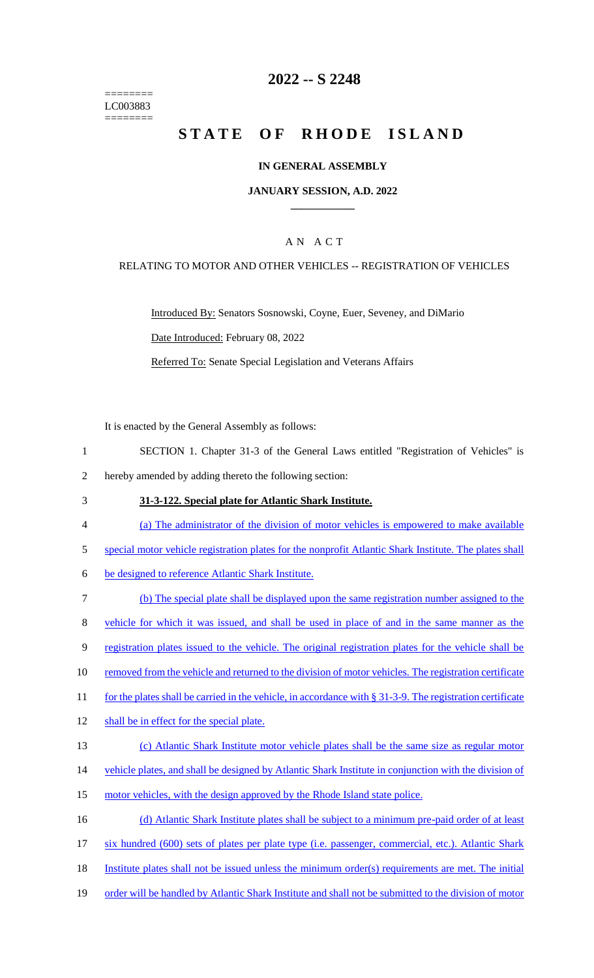======== LC003883 ========

### **2022 -- S 2248**

# **STATE OF RHODE ISLAND**

#### **IN GENERAL ASSEMBLY**

#### **JANUARY SESSION, A.D. 2022 \_\_\_\_\_\_\_\_\_\_\_\_**

### A N A C T

#### RELATING TO MOTOR AND OTHER VEHICLES -- REGISTRATION OF VEHICLES

Introduced By: Senators Sosnowski, Coyne, Euer, Seveney, and DiMario Date Introduced: February 08, 2022 Referred To: Senate Special Legislation and Veterans Affairs

It is enacted by the General Assembly as follows:

- 1 SECTION 1. Chapter 31-3 of the General Laws entitled "Registration of Vehicles" is 2 hereby amended by adding thereto the following section:
- 
- 3 **31-3-122. Special plate for Atlantic Shark Institute.**
- 4 (a) The administrator of the division of motor vehicles is empowered to make available
- 5 special motor vehicle registration plates for the nonprofit Atlantic Shark Institute. The plates shall
- 6 be designed to reference Atlantic Shark Institute.
- 7 (b) The special plate shall be displayed upon the same registration number assigned to the 8 vehicle for which it was issued, and shall be used in place of and in the same manner as the 9 registration plates issued to the vehicle. The original registration plates for the vehicle shall be 10 removed from the vehicle and returned to the division of motor vehicles. The registration certificate 11 for the plates shall be carried in the vehicle, in accordance with § 31-3-9. The registration certificate 12 shall be in effect for the special plate. 13 (c) Atlantic Shark Institute motor vehicle plates shall be the same size as regular motor 14 vehicle plates, and shall be designed by Atlantic Shark Institute in conjunction with the division of
- 15 motor vehicles, with the design approved by the Rhode Island state police.
- 16 (d) Atlantic Shark Institute plates shall be subject to a minimum pre-paid order of at least
- 17 six hundred (600) sets of plates per plate type (i.e. passenger, commercial, etc.). Atlantic Shark
- 18 Institute plates shall not be issued unless the minimum order(s) requirements are met. The initial
- 19 order will be handled by Atlantic Shark Institute and shall not be submitted to the division of motor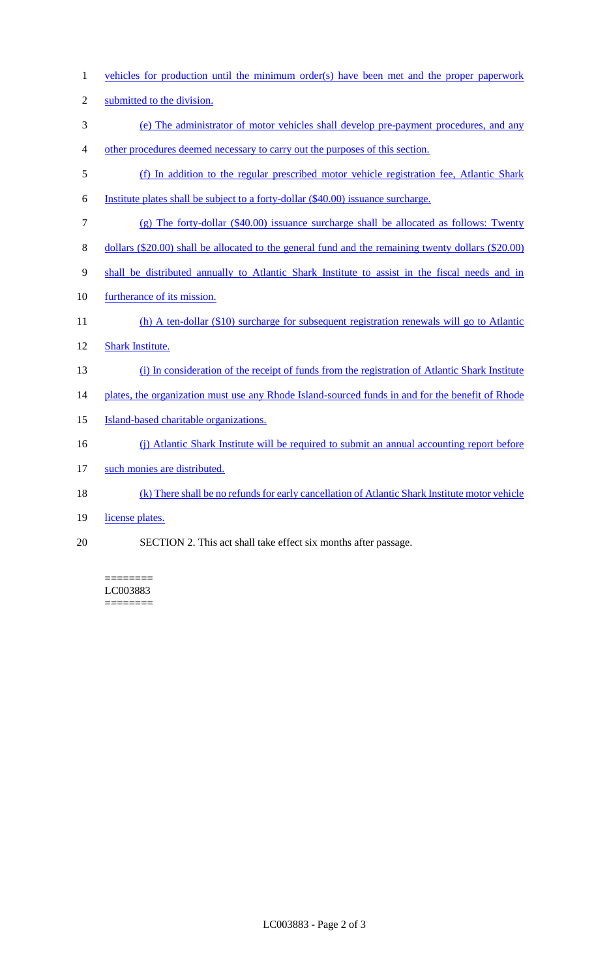- vehicles for production until the minimum order(s) have been met and the proper paperwork
- submitted to the division.
- (e) The administrator of motor vehicles shall develop pre-payment procedures, and any
- other procedures deemed necessary to carry out the purposes of this section.
- (f) In addition to the regular prescribed motor vehicle registration fee, Atlantic Shark
- Institute plates shall be subject to a forty-dollar (\$40.00) issuance surcharge.
- (g) The forty-dollar (\$40.00) issuance surcharge shall be allocated as follows: Twenty
- dollars (\$20.00) shall be allocated to the general fund and the remaining twenty dollars (\$20.00)
- shall be distributed annually to Atlantic Shark Institute to assist in the fiscal needs and in
- 10 furtherance of its mission.
- 11 (h) A ten-dollar (\$10) surcharge for subsequent registration renewals will go to Atlantic
- Shark Institute.
- (i) In consideration of the receipt of funds from the registration of Atlantic Shark Institute
- 14 plates, the organization must use any Rhode Island-sourced funds in and for the benefit of Rhode
- Island-based charitable organizations.
- (j) Atlantic Shark Institute will be required to submit an annual accounting report before
- such monies are distributed.
- (k) There shall be no refunds for early cancellation of Atlantic Shark Institute motor vehicle
- 19 license plates.
- SECTION 2. This act shall take effect six months after passage.

======== LC003883 ========